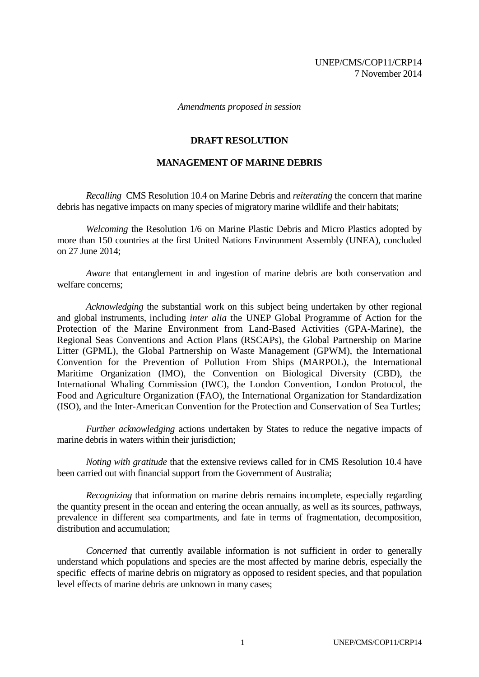*Amendments proposed in session*

### **DRAFT RESOLUTION**

### **MANAGEMENT OF MARINE DEBRIS**

*Recalling* CMS Resolution 10.4 on Marine Debris and *reiterating* the concern that marine debris has negative impacts on many species of migratory marine wildlife and their habitats;

*Welcoming* the Resolution 1/6 on Marine Plastic Debris and Micro Plastics adopted by more than 150 countries at the first United Nations Environment Assembly (UNEA), concluded on 27 June 2014;

*Aware* that entanglement in and ingestion of marine debris are both conservation and welfare concerns;

*Acknowledging* the substantial work on this subject being undertaken by other regional and global instruments, including *inter alia* the UNEP Global Programme of Action for the Protection of the Marine Environment from Land-Based Activities (GPA-Marine), the Regional Seas Conventions and Action Plans (RSCAPs), the Global Partnership on Marine Litter (GPML), the Global Partnership on Waste Management (GPWM), the International Convention for the Prevention of Pollution From Ships (MARPOL), the International Maritime Organization (IMO), the Convention on Biological Diversity (CBD), the International Whaling Commission (IWC), the London Convention, London Protocol, the Food and Agriculture Organization (FAO), the International Organization for Standardization (ISO), and the Inter-American Convention for the Protection and Conservation of Sea Turtles;

*Further acknowledging* actions undertaken by States to reduce the negative impacts of marine debris in waters within their jurisdiction;

*Noting with gratitude* that the extensive reviews called for in CMS Resolution 10.4 have been carried out with financial support from the Government of Australia;

*Recognizing* that information on marine debris remains incomplete, especially regarding the quantity present in the ocean and entering the ocean annually, as well as its sources, pathways, prevalence in different sea compartments, and fate in terms of fragmentation, decomposition, distribution and accumulation;

*Concerned* that currently available information is not sufficient in order to generally understand which populations and species are the most affected by marine debris, especially the specific effects of marine debris on migratory as opposed to resident species, and that population level effects of marine debris are unknown in many cases;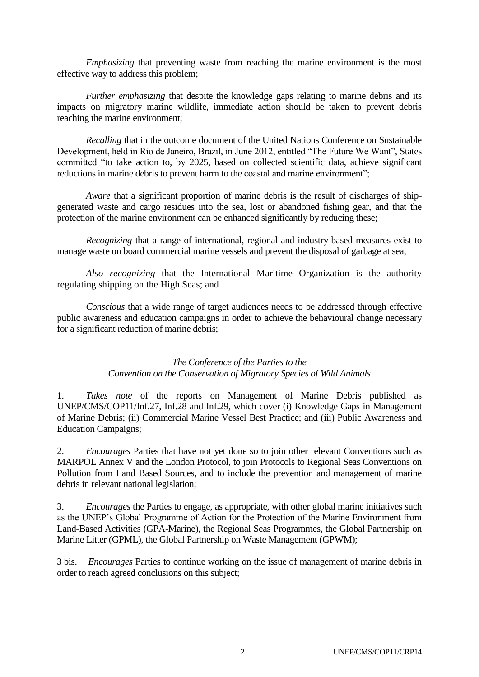*Emphasizing* that preventing waste from reaching the marine environment is the most effective way to address this problem;

*Further emphasizing* that despite the knowledge gaps relating to marine debris and its impacts on migratory marine wildlife, immediate action should be taken to prevent debris reaching the marine environment;

*Recalling* that in the outcome document of the United Nations Conference on Sustainable Development, held in Rio de Janeiro, Brazil, in June 2012, entitled "The Future We Want", States committed "to take action to, by 2025, based on collected scientific data, achieve significant reductions in marine debris to prevent harm to the coastal and marine environment";

*Aware* that a significant proportion of marine debris is the result of discharges of shipgenerated waste and cargo residues into the sea, lost or abandoned fishing gear, and that the protection of the marine environment can be enhanced significantly by reducing these;

*Recognizing* that a range of international, regional and industry-based measures exist to manage waste on board commercial marine vessels and prevent the disposal of garbage at sea;

*Also recognizing* that the International Maritime Organization is the authority regulating shipping on the High Seas; and

*Conscious* that a wide range of target audiences needs to be addressed through effective public awareness and education campaigns in order to achieve the behavioural change necessary for a significant reduction of marine debris;

### *The Conference of the Parties to the Convention on the Conservation of Migratory Species of Wild Animals*

1. *Takes note* of the reports on Management of Marine Debris published as UNEP/CMS/COP11/Inf.27, Inf.28 and Inf.29, which cover (i) Knowledge Gaps in Management of Marine Debris; (ii) Commercial Marine Vessel Best Practice; and (iii) Public Awareness and Education Campaigns;

2. *Encourages* Parties that have not yet done so to join other relevant Conventions such as MARPOL Annex V and the London Protocol, to join Protocols to Regional Seas Conventions on Pollution from Land Based Sources, and to include the prevention and management of marine debris in relevant national legislation;

3. *Encourages* the Parties to engage, as appropriate, with other global marine initiatives such as the UNEP's Global Programme of Action for the Protection of the Marine Environment from Land-Based Activities (GPA-Marine), the Regional Seas Programmes, the Global Partnership on Marine Litter (GPML), the Global Partnership on Waste Management (GPWM);

3 bis. *Encourages* Parties to continue working on the issue of management of marine debris in order to reach agreed conclusions on this subject;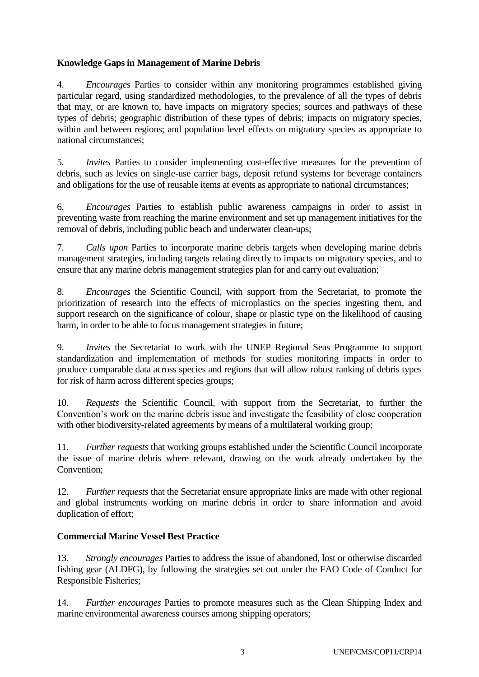# **Knowledge Gaps in Management of Marine Debris**

4. *Encourages* Parties to consider within any monitoring programmes established giving particular regard, using standardized methodologies, to the prevalence of all the types of debris that may, or are known to, have impacts on migratory species; sources and pathways of these types of debris; geographic distribution of these types of debris; impacts on migratory species, within and between regions; and population level effects on migratory species as appropriate to national circumstances;

5. *Invites* Parties to consider implementing cost-effective measures for the prevention of debris, such as levies on single-use carrier bags, deposit refund systems for beverage containers and obligations for the use of reusable items at events as appropriate to national circumstances;

6. *Encourages* Parties to establish public awareness campaigns in order to assist in preventing waste from reaching the marine environment and set up management initiatives for the removal of debris, including public beach and underwater clean-ups;

7. *Calls upon* Parties to incorporate marine debris targets when developing marine debris management strategies, including targets relating directly to impacts on migratory species, and to ensure that any marine debris management strategies plan for and carry out evaluation;

8. *Encourages* the Scientific Council, with support from the Secretariat, to promote the prioritization of research into the effects of microplastics on the species ingesting them, and support research on the significance of colour, shape or plastic type on the likelihood of causing harm, in order to be able to focus management strategies in future;

9. *Invites* the Secretariat to work with the UNEP Regional Seas Programme to support standardization and implementation of methods for studies monitoring impacts in order to produce comparable data across species and regions that will allow robust ranking of debris types for risk of harm across different species groups;

10. *Requests* the Scientific Council, with support from the Secretariat, to further the Convention's work on the marine debris issue and investigate the feasibility of close cooperation with other biodiversity-related agreements by means of a multilateral working group;

11. *Further requests* that working groups established under the Scientific Council incorporate the issue of marine debris where relevant, drawing on the work already undertaken by the Convention;

12. *Further requests* that the Secretariat ensure appropriate links are made with other regional and global instruments working on marine debris in order to share information and avoid duplication of effort;

## **Commercial Marine Vessel Best Practice**

13. *Strongly encourages* Parties to address the issue of abandoned, lost or otherwise discarded fishing gear (ALDFG), by following the strategies set out under the FAO Code of Conduct for Responsible Fisheries;

14. *Further encourages* Parties to promote measures such as the Clean Shipping Index and marine environmental awareness courses among shipping operators;